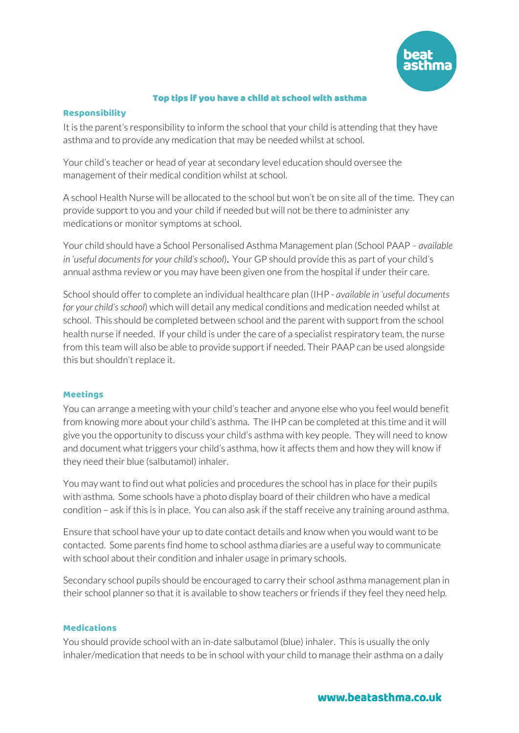

## Top tips if you have a child at school with asthma

### Responsibility

It is the parent's responsibility to inform the school that your child is attending that they have asthma and to provide any medication that may be needed whilst at school.

Your child's teacher or head of year at secondary level education should oversee the management of their medical condition whilst at school.

A school Health Nurse will be allocated to the school but won't be on site all of the time. They can provide support to you and your child if needed but will not be there to administer any medications or monitor symptoms at school.

Your child should have a School Personalised Asthma Management plan (School PAAP *– available in 'useful documents for your child's school*). Your GP should provide this as part of your child's annual asthma review or you may have been given one from the hospital if under their care.

School should offer to complete an individual healthcare plan (IHP - *available in 'useful documents for your child's school*) which will detail any medical conditions and medication needed whilst at school. This should be completed between school and the parent with support from the school health nurse if needed. If your child is under the care of a specialist respiratory team, the nurse from this team will also be able to provide support if needed. Their PAAP can be used alongside this but shouldn't replace it.

### Meetings

You can arrange a meeting with your child's teacher and anyone else who you feel would benefit from knowing more about your child's asthma. The IHP can be completed at this time and it will give you the opportunity to discuss your child's asthma with key people. They will need to know and document what triggers your child's asthma, how it affects them and how they will know if they need their blue (salbutamol) inhaler.

You may want to find out what policies and procedures the school has in place for their pupils with asthma. Some schools have a photo display board of their children who have a medical condition – ask if this is in place. You can also ask if the staff receive any training around asthma.

Ensure that school have your up to date contact details and know when you would want to be contacted. Some parents find home to school asthma diaries are a useful way to communicate with school about their condition and inhaler usage in primary schools.

Secondary school pupils should be encouraged to carry their school asthma management plan in their school planner so that it is available to show teachers or friends if they feel they need help.

#### Medications

You should provide school with an in-date salbutamol (blue) inhaler. This is usually the only inhaler/medication that needs to be in school with your child to manage their asthma on a daily